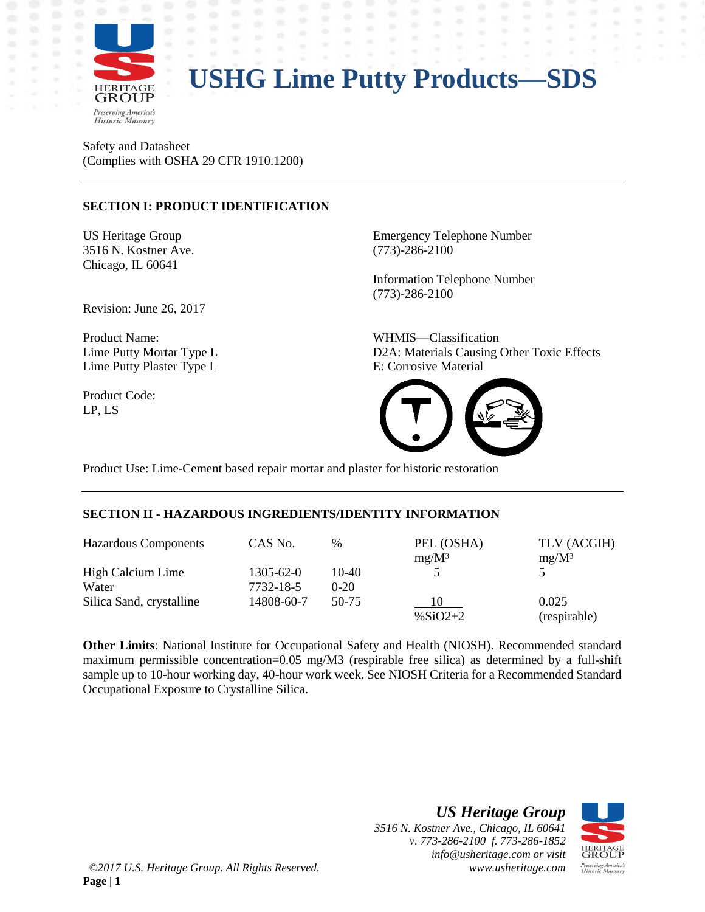

Safety and Datasheet (Complies with OSHA 29 CFR 1910.1200)

#### **SECTION I: PRODUCT IDENTIFICATION**

3516 N. Kostner Ave. (773)-286-2100 Chicago, IL 60641

Revision: June 26, 2017

Product Name: WHMIS—Classification Lime Putty Plaster Type L<br>
E: Corrosive Material

Product Code: LP, LS

US Heritage Group **Emergency Telephone Number** 

Information Telephone Number (773)-286-2100

Lime Putty Mortar Type L D2A: Materials Causing Other Toxic Effects



Product Use: Lime-Cement based repair mortar and plaster for historic restoration

#### **SECTION II - HAZARDOUS INGREDIENTS/IDENTITY INFORMATION**

| <b>Hazardous Components</b> | CAS No.         | $\%$   | PEL (OSHA)  | TLV (ACGIH)  |
|-----------------------------|-----------------|--------|-------------|--------------|
|                             |                 |        | $mg/M^3$    | $mg/M^3$     |
| High Calcium Lime           | $1305 - 62 - 0$ | 10-40  |             |              |
| Water                       | 7732-18-5       | $0-20$ |             |              |
| Silica Sand, crystalline    | 14808-60-7      | 50-75  | 10          | 0.025        |
|                             |                 |        | $\%$ SiO2+2 | (respirable) |

**Other Limits**: National Institute for Occupational Safety and Health (NIOSH). Recommended standard maximum permissible concentration=0.05 mg/M3 (respirable free silica) as determined by a full-shift sample up to 10-hour working day, 40-hour work week. See NIOSH Criteria for a Recommended Standard Occupational Exposure to Crystalline Silica.

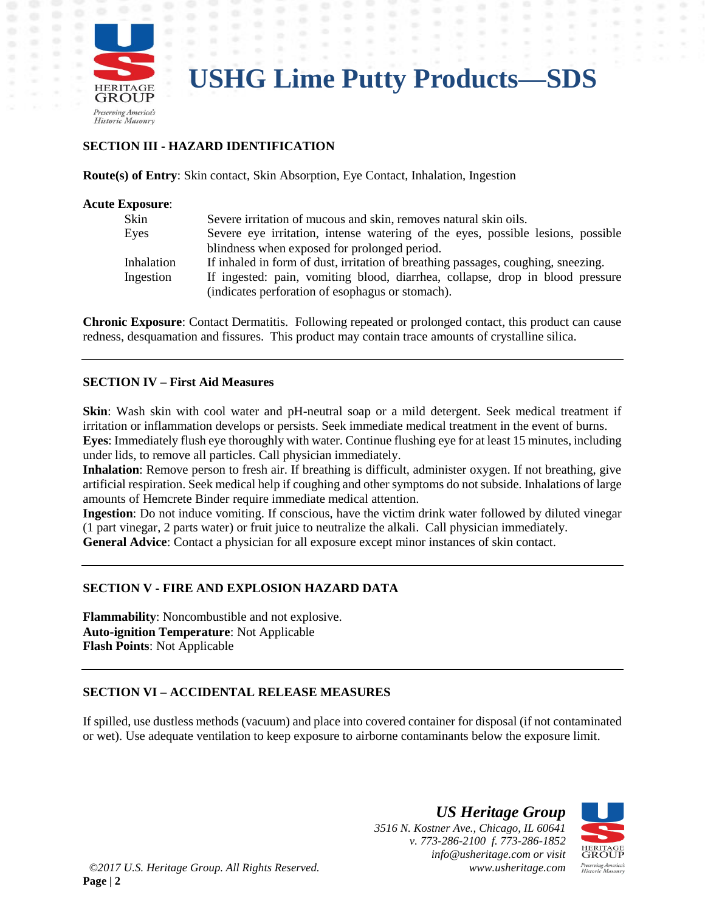

#### **SECTION III - HAZARD IDENTIFICATION**

**Route(s) of Entry**: Skin contact, Skin Absorption, Eye Contact, Inhalation, Ingestion

| <b>Acute Exposure:</b> |                                                                                                                                   |
|------------------------|-----------------------------------------------------------------------------------------------------------------------------------|
| Skin                   | Severe irritation of mucous and skin, removes natural skin oils.                                                                  |
| Eyes                   | Severe eye irritation, intense watering of the eyes, possible lesions, possible                                                   |
|                        | blindness when exposed for prolonged period.                                                                                      |
| <b>Inhalation</b>      | If inhaled in form of dust, irritation of breathing passages, coughing, sneezing.                                                 |
| Ingestion              | If ingested: pain, vomiting blood, diarrhea, collapse, drop in blood pressure<br>(indicates perforation of esophagus or stomach). |

**Chronic Exposure**: Contact Dermatitis. Following repeated or prolonged contact, this product can cause redness, desquamation and fissures. This product may contain trace amounts of crystalline silica.

#### **SECTION IV – First Aid Measures**

**Skin**: Wash skin with cool water and pH-neutral soap or a mild detergent. Seek medical treatment if irritation or inflammation develops or persists. Seek immediate medical treatment in the event of burns. **Eyes**: Immediately flush eye thoroughly with water. Continue flushing eye for at least 15 minutes, including under lids, to remove all particles. Call physician immediately.

**Inhalation**: Remove person to fresh air. If breathing is difficult, administer oxygen. If not breathing, give artificial respiration. Seek medical help if coughing and other symptoms do not subside. Inhalations of large amounts of Hemcrete Binder require immediate medical attention.

**Ingestion**: Do not induce vomiting. If conscious, have the victim drink water followed by diluted vinegar (1 part vinegar, 2 parts water) or fruit juice to neutralize the alkali. Call physician immediately. **General Advice**: Contact a physician for all exposure except minor instances of skin contact.

#### **SECTION V - FIRE AND EXPLOSION HAZARD DATA**

**Flammability**: Noncombustible and not explosive. **Auto-ignition Temperature**: Not Applicable **Flash Points**: Not Applicable

#### **SECTION VI – ACCIDENTAL RELEASE MEASURES**

If spilled, use dustless methods (vacuum) and place into covered container for disposal (if not contaminated or wet). Use adequate ventilation to keep exposure to airborne contaminants below the exposure limit.

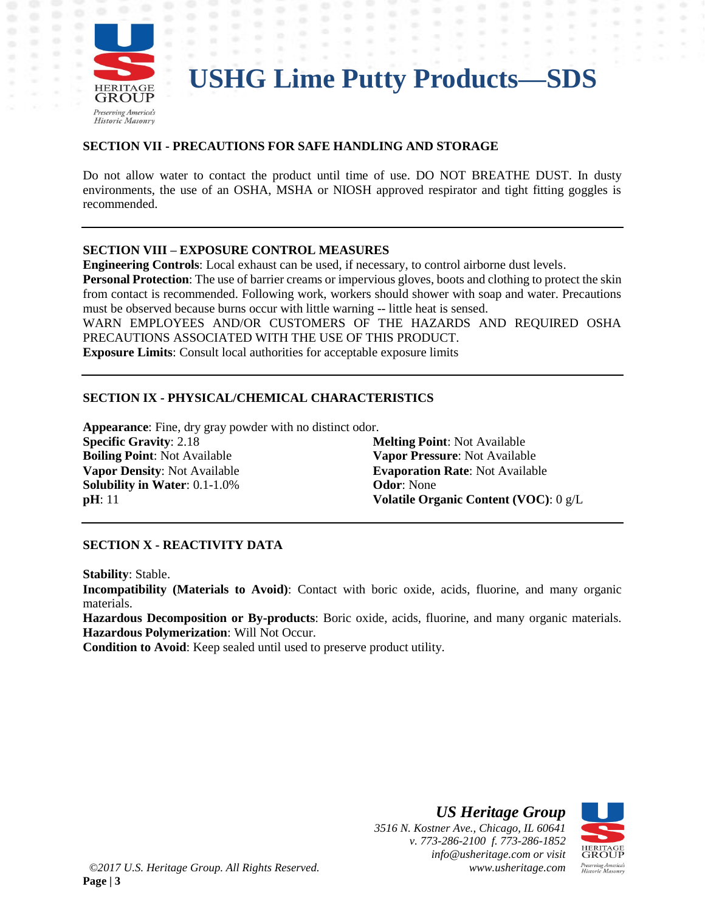

#### **SECTION VII - PRECAUTIONS FOR SAFE HANDLING AND STORAGE**

Do not allow water to contact the product until time of use. DO NOT BREATHE DUST. In dusty environments, the use of an OSHA, MSHA or NIOSH approved respirator and tight fitting goggles is recommended.

#### **SECTION VIII – EXPOSURE CONTROL MEASURES**

**Engineering Controls**: Local exhaust can be used, if necessary, to control airborne dust levels.

**Personal Protection**: The use of barrier creams or impervious gloves, boots and clothing to protect the skin from contact is recommended. Following work, workers should shower with soap and water. Precautions must be observed because burns occur with little warning -- little heat is sensed.

WARN EMPLOYEES AND/OR CUSTOMERS OF THE HAZARDS AND REQUIRED OSHA PRECAUTIONS ASSOCIATED WITH THE USE OF THIS PRODUCT.

**Exposure Limits**: Consult local authorities for acceptable exposure limits

#### **SECTION IX - PHYSICAL/CHEMICAL CHARACTERISTICS**

**Appearance**: Fine, dry gray powder with no distinct odor. **Specific Gravity**: 2.18 **Melting Point**: Not Available **Boiling Point**: Not Available **Vapor Pressure**: Not Available **Vapor Density**: Not Available **Evaporation Rate**: Not Available **Solubility in Water**: 0.1-1.0% **Odor**: None **pH**: 11 **Volatile Organic Content (VOC)**: 0 g/L

#### **SECTION X - REACTIVITY DATA**

**Stability**: Stable.

**Incompatibility (Materials to Avoid)**: Contact with boric oxide, acids, fluorine, and many organic materials.

**Hazardous Decomposition or By-products**: Boric oxide, acids, fluorine, and many organic materials. **Hazardous Polymerization**: Will Not Occur.

**Condition to Avoid**: Keep sealed until used to preserve product utility.

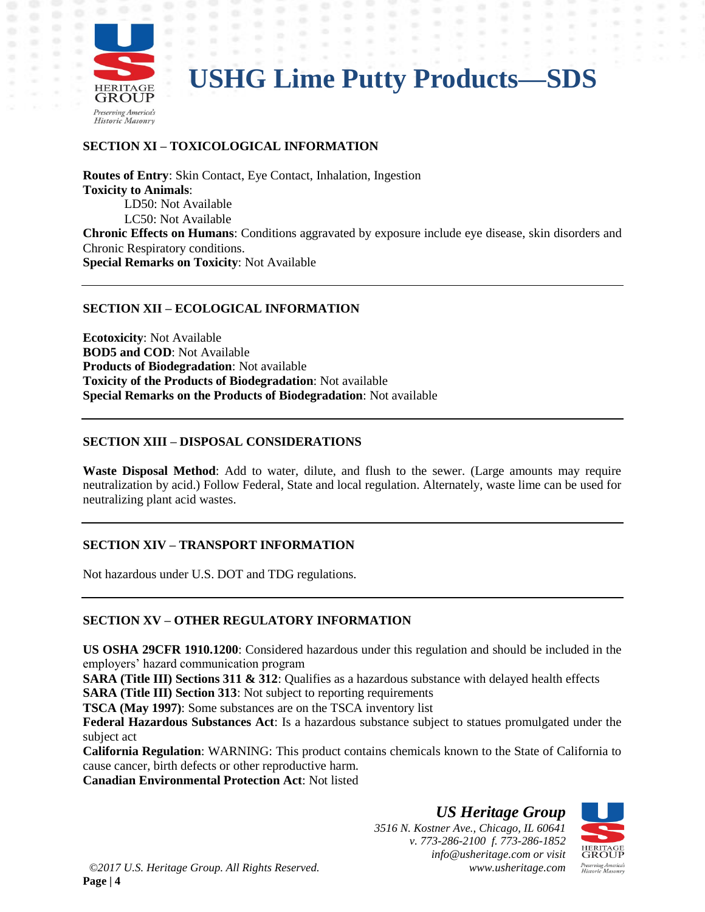

### **SECTION XI – TOXICOLOGICAL INFORMATION**

**Routes of Entry**: Skin Contact, Eye Contact, Inhalation, Ingestion **Toxicity to Animals**: LD50: Not Available LC50: Not Available **Chronic Effects on Humans**: Conditions aggravated by exposure include eye disease, skin disorders and Chronic Respiratory conditions. **Special Remarks on Toxicity**: Not Available

#### **SECTION XII – ECOLOGICAL INFORMATION**

**Ecotoxicity**: Not Available **BOD5 and COD**: Not Available **Products of Biodegradation**: Not available **Toxicity of the Products of Biodegradation**: Not available **Special Remarks on the Products of Biodegradation**: Not available

#### **SECTION XIII – DISPOSAL CONSIDERATIONS**

**Waste Disposal Method**: Add to water, dilute, and flush to the sewer. (Large amounts may require neutralization by acid.) Follow Federal, State and local regulation. Alternately, waste lime can be used for neutralizing plant acid wastes.

#### **SECTION XIV – TRANSPORT INFORMATION**

Not hazardous under U.S. DOT and TDG regulations.

#### **SECTION XV – OTHER REGULATORY INFORMATION**

**US OSHA 29CFR 1910.1200**: Considered hazardous under this regulation and should be included in the employers' hazard communication program

**SARA (Title III) Sections 311 & 312:** Qualifies as a hazardous substance with delayed health effects

**SARA (Title III) Section 313:** Not subject to reporting requirements

**TSCA (May 1997)**: Some substances are on the TSCA inventory list

**Federal Hazardous Substances Act**: Is a hazardous substance subject to statues promulgated under the subject act

**California Regulation**: WARNING: This product contains chemicals known to the State of California to cause cancer, birth defects or other reproductive harm.

**Canadian Environmental Protection Act**: Not listed

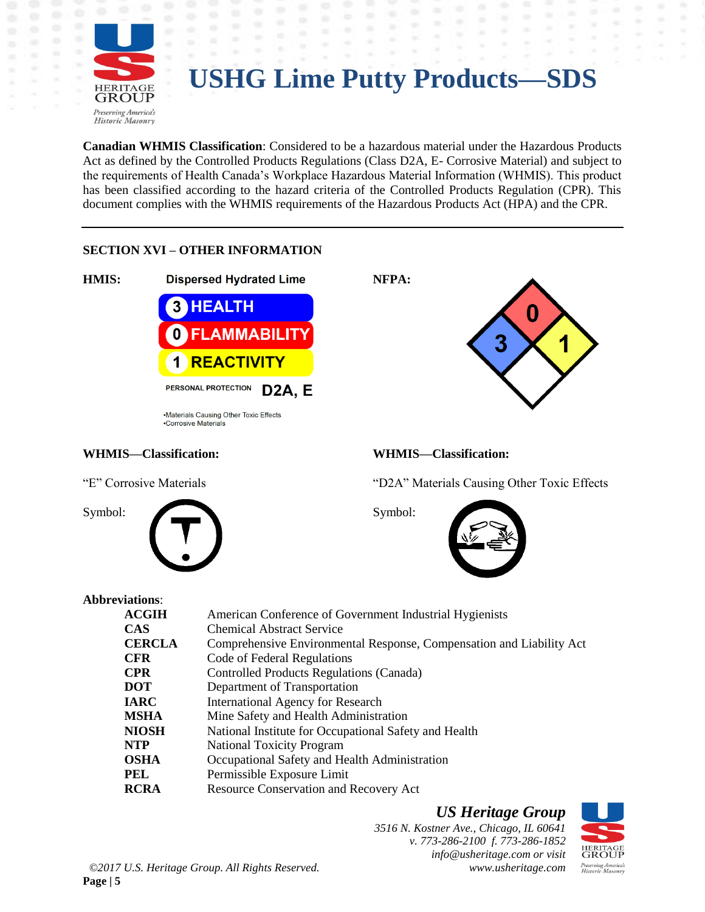

**Canadian WHMIS Classification**: Considered to be a hazardous material under the Hazardous Products Act as defined by the Controlled Products Regulations (Class D2A, E- Corrosive Material) and subject to the requirements of Health Canada's Workplace Hazardous Material Information (WHMIS). This product has been classified according to the hazard criteria of the Controlled Products Regulation (CPR). This document complies with the WHMIS requirements of the Hazardous Products Act (HPA) and the CPR.

#### **SECTION XVI – OTHER INFORMATION**



•Materials Causing Other Toxic Effects •Corrosive Materials

#### **WHMIS—Classification: WHMIS—Classification:**



"E" Corrosive Materials "D2A" Materials Causing Other Toxic Effects



#### **Abbreviations**:

| утанин».      |                                                                      |
|---------------|----------------------------------------------------------------------|
| <b>ACGIH</b>  | American Conference of Government Industrial Hygienists              |
| <b>CAS</b>    | <b>Chemical Abstract Service</b>                                     |
| <b>CERCLA</b> | Comprehensive Environmental Response, Compensation and Liability Act |
| <b>CFR</b>    | Code of Federal Regulations                                          |
| <b>CPR</b>    | Controlled Products Regulations (Canada)                             |
| <b>DOT</b>    | Department of Transportation                                         |
| <b>IARC</b>   | <b>International Agency for Research</b>                             |
| <b>MSHA</b>   | Mine Safety and Health Administration                                |
| <b>NIOSH</b>  | National Institute for Occupational Safety and Health                |
| <b>NTP</b>    | <b>National Toxicity Program</b>                                     |
| <b>OSHA</b>   | Occupational Safety and Health Administration                        |
| <b>PEL</b>    | Permissible Exposure Limit                                           |
| <b>RCRA</b>   | <b>Resource Conservation and Recovery Act</b>                        |
|               |                                                                      |